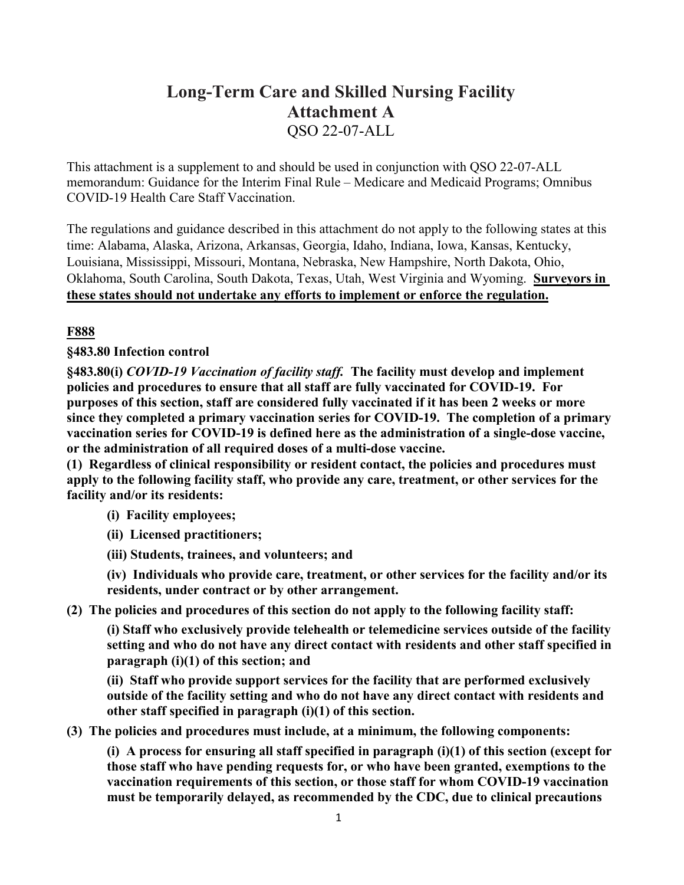# **Long-Term Care and Skilled Nursing Facility Attachment A** QSO 22-07-ALL

This attachment is a supplement to and should be used in conjunction with QSO 22-07-ALL memorandum: Guidance for the Interim Final Rule – Medicare and Medicaid Programs; Omnibus COVID-19 Health Care Staff Vaccination.

The regulations and guidance described in this attachment do not apply to the following states at this time: Alabama, Alaska, Arizona, Arkansas, Georgia, Idaho, Indiana, Iowa, Kansas, Kentucky, Louisiana, Mississippi, Missouri, Montana, Nebraska, New Hampshire, North Dakota, Ohio, Oklahoma, South Carolina, South Dakota, Texas, Utah, West Virginia and Wyoming. **Surveyors in these states should not undertake any efforts to implement or enforce the regulation.**

# **F888**

# **§483.80 Infection control**

**§483.80(i)** *COVID-19 Vaccination of facility staff.* **The facility must develop and implement policies and procedures to ensure that all staff are fully vaccinated for COVID-19. For purposes of this section, staff are considered fully vaccinated if it has been 2 weeks or more since they completed a primary vaccination series for COVID-19. The completion of a primary vaccination series for COVID-19 is defined here as the administration of a single-dose vaccine, or the administration of all required doses of a multi-dose vaccine.**

**(1) Regardless of clinical responsibility or resident contact, the policies and procedures must apply to the following facility staff, who provide any care, treatment, or other services for the facility and/or its residents:** 

## **(i) Facility employees;**

- **(ii) Licensed practitioners;**
- **(iii) Students, trainees, and volunteers; and**

**(iv) Individuals who provide care, treatment, or other services for the facility and/or its residents, under contract or by other arrangement.**

## **(2) The policies and procedures of this section do not apply to the following facility staff:**

**(i) Staff who exclusively provide telehealth or telemedicine services outside of the facility setting and who do not have any direct contact with residents and other staff specified in paragraph (i)(1) of this section; and**

**(ii) Staff who provide support services for the facility that are performed exclusively outside of the facility setting and who do not have any direct contact with residents and other staff specified in paragraph (i)(1) of this section.**

**(3) The policies and procedures must include, at a minimum, the following components:**

**(i) A process for ensuring all staff specified in paragraph (i)(1) of this section (except for those staff who have pending requests for, or who have been granted, exemptions to the vaccination requirements of this section, or those staff for whom COVID-19 vaccination must be temporarily delayed, as recommended by the CDC, due to clinical precautions**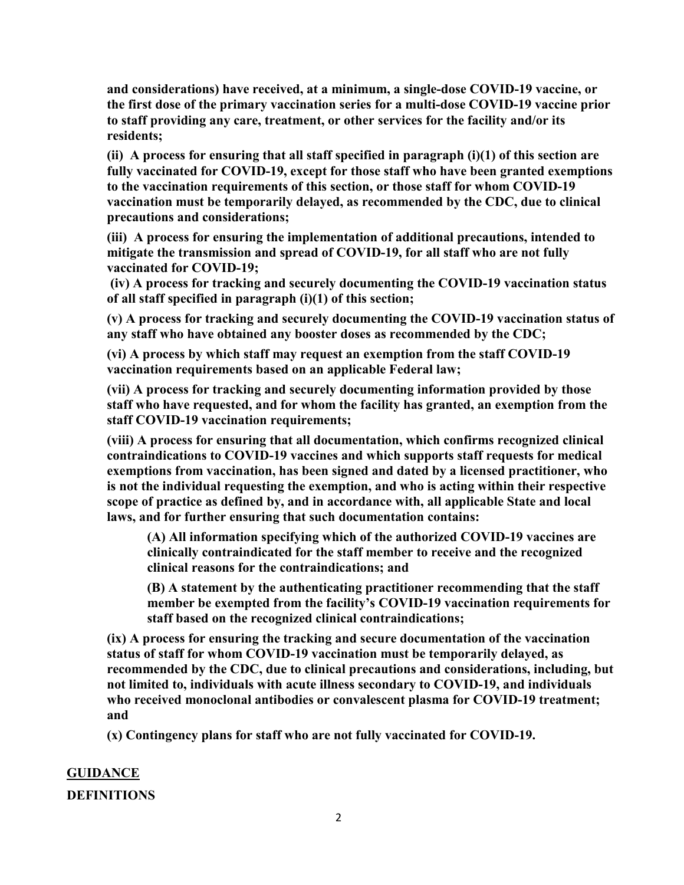**and considerations) have received, at a minimum, a single-dose COVID-19 vaccine, or the first dose of the primary vaccination series for a multi-dose COVID-19 vaccine prior to staff providing any care, treatment, or other services for the facility and/or its residents;**

**(ii) A process for ensuring that all staff specified in paragraph (i)(1) of this section are fully vaccinated for COVID-19, except for those staff who have been granted exemptions to the vaccination requirements of this section, or those staff for whom COVID-19 vaccination must be temporarily delayed, as recommended by the CDC, due to clinical precautions and considerations;** 

**(iii) A process for ensuring the implementation of additional precautions, intended to mitigate the transmission and spread of COVID-19, for all staff who are not fully vaccinated for COVID-19;**

**(iv) A process for tracking and securely documenting the COVID-19 vaccination status of all staff specified in paragraph (i)(1) of this section;**

**(v) A process for tracking and securely documenting the COVID-19 vaccination status of any staff who have obtained any booster doses as recommended by the CDC;** 

**(vi) A process by which staff may request an exemption from the staff COVID-19 vaccination requirements based on an applicable Federal law;** 

**(vii) A process for tracking and securely documenting information provided by those staff who have requested, and for whom the facility has granted, an exemption from the staff COVID-19 vaccination requirements;** 

**(viii) A process for ensuring that all documentation, which confirms recognized clinical contraindications to COVID-19 vaccines and which supports staff requests for medical exemptions from vaccination, has been signed and dated by a licensed practitioner, who is not the individual requesting the exemption, and who is acting within their respective scope of practice as defined by, and in accordance with, all applicable State and local laws, and for further ensuring that such documentation contains:**

**(A) All information specifying which of the authorized COVID-19 vaccines are clinically contraindicated for the staff member to receive and the recognized clinical reasons for the contraindications; and** 

**(B) A statement by the authenticating practitioner recommending that the staff member be exempted from the facility's COVID-19 vaccination requirements for staff based on the recognized clinical contraindications;**

**(ix) A process for ensuring the tracking and secure documentation of the vaccination status of staff for whom COVID-19 vaccination must be temporarily delayed, as recommended by the CDC, due to clinical precautions and considerations, including, but not limited to, individuals with acute illness secondary to COVID-19, and individuals who received monoclonal antibodies or convalescent plasma for COVID-19 treatment; and**

**(x) Contingency plans for staff who are not fully vaccinated for COVID-19.**

# **GUIDANCE DEFINITIONS**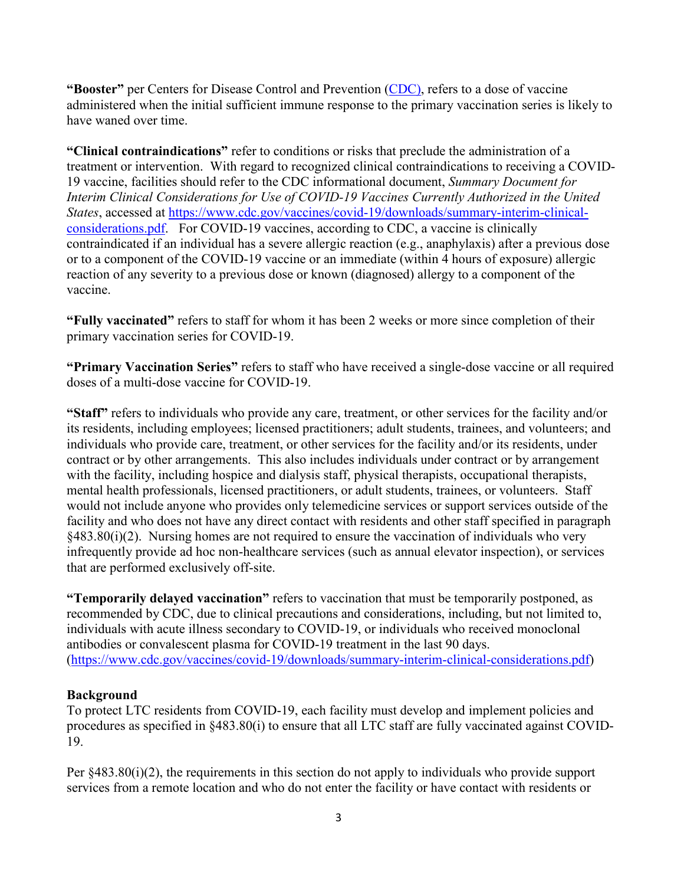**"Booster"** per Centers for Disease Control and Prevention [\(CDC\)](https://www.cdc.gov/coronavirus/2019-ncov/vaccines/booster-shot.html), refers to a dose of vaccine administered when the initial sufficient immune response to the primary vaccination series is likely to have waned over time.

**"Clinical contraindications"** refer to conditions or risks that preclude the administration of a treatment or intervention. With regard to recognized clinical contraindications to receiving a COVID-19 vaccine, facilities should refer to the CDC informational document, *Summary Document for Interim Clinical Considerations for Use of COVID-19 Vaccines Currently Authorized in the United States*, accessed at [https://www.cdc.gov/vaccines/covid-19/downloads/summary-interim-clinical](https://www.cdc.gov/vaccines/covid-19/downloads/summary-interim-clinical-considerations.pdf)[considerations.pdf.](https://www.cdc.gov/vaccines/covid-19/downloads/summary-interim-clinical-considerations.pdf) For COVID-19 vaccines, according to CDC, a vaccine is clinically contraindicated if an individual has a severe allergic reaction (e.g., anaphylaxis) after a previous dose or to a component of the COVID-19 vaccine or an immediate (within 4 hours of exposure) allergic reaction of any severity to a previous dose or known (diagnosed) allergy to a component of the vaccine.

**"Fully vaccinated"** refers to staff for whom it has been 2 weeks or more since completion of their primary vaccination series for COVID-19.

**"Primary Vaccination Series"** refers to staff who have received a single-dose vaccine or all required doses of a multi-dose vaccine for COVID-19.

**"Staff"** refers to individuals who provide any care, treatment, or other services for the facility and/or its residents, including employees; licensed practitioners; adult students, trainees, and volunteers; and individuals who provide care, treatment, or other services for the facility and/or its residents, under contract or by other arrangements. This also includes individuals under contract or by arrangement with the facility, including hospice and dialysis staff, physical therapists, occupational therapists, mental health professionals, licensed practitioners, or adult students, trainees, or volunteers. Staff would not include anyone who provides only telemedicine services or support services outside of the facility and who does not have any direct contact with residents and other staff specified in paragraph §483.80(i)(2). Nursing homes are not required to ensure the vaccination of individuals who very infrequently provide ad hoc non-healthcare services (such as annual elevator inspection), or services that are performed exclusively off-site.

**"Temporarily delayed vaccination"** refers to vaccination that must be temporarily postponed, as recommended by CDC, due to clinical precautions and considerations, including, but not limited to, individuals with acute illness secondary to COVID-19, or individuals who received monoclonal antibodies or convalescent plasma for COVID-19 treatment in the last 90 days. [\(https://www.cdc.gov/vaccines/covid-19/downloads/summary-interim-clinical-considerations.pdf\)](https://www.cdc.gov/vaccines/covid-19/downloads/summary-interim-clinical-considerations.pdf)

#### **Background**

To protect LTC residents from COVID-19, each facility must develop and implement policies and procedures as specified in §483.80(i) to ensure that all LTC staff are fully vaccinated against COVID-19.

Per §483.80(i)(2), the requirements in this section do not apply to individuals who provide support services from a remote location and who do not enter the facility or have contact with residents or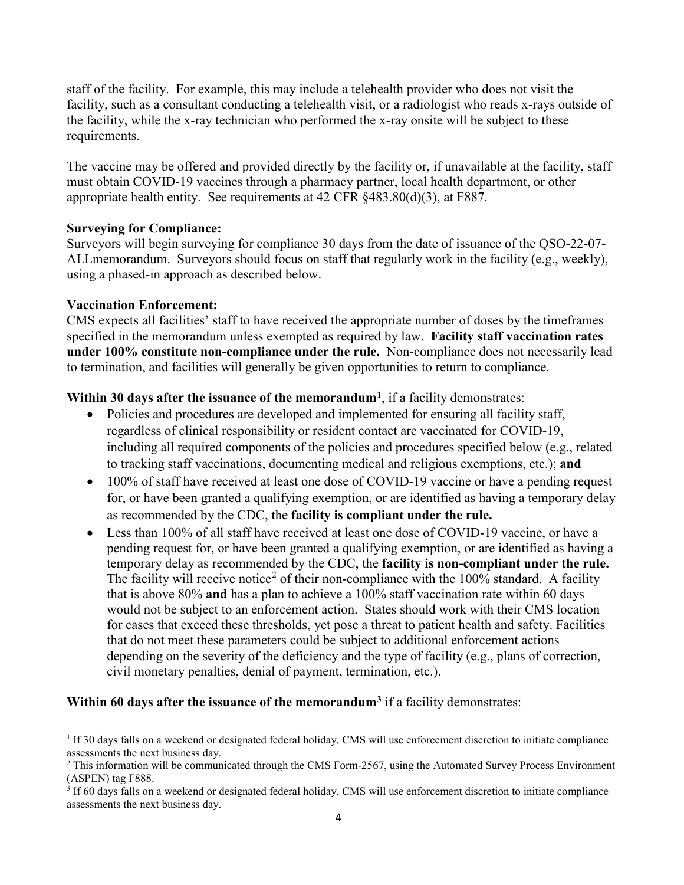staff of the facility. For example, this may include a telehealth provider who does not visit the facility, such as a consultant conducting a telehealth visit, or a radiologist who reads x-rays outside of the facility, while the x-ray technician who performed the x-ray onsite will be subject to these requirements.

The vaccine may be offered and provided directly by the facility or, if unavailable at the facility, staff must obtain COVID-19 vaccines through a pharmacy partner, local health department, or other appropriate health entity. See requirements at 42 CFR §483.80(d)(3), at F887.

## **Surveying for Compliance:**

Surveyors will begin surveying for compliance 30 days from the date of issuance of the QSO-22-07- ALLmemorandum. Surveyors should focus on staff that regularly work in the facility (e.g., weekly), using a phased-in approach as described below.

#### **Vaccination Enforcement:**

 $\overline{a}$ 

CMS expects all facilities' staff to have received the appropriate number of doses by the timeframes specified in the memorandum unless exempted as required by law. **Facility staff vaccination rates under 100% constitute non-compliance under the rule.** Non-compliance does not necessarily lead to termination, and facilities will generally be given opportunities to return to compliance.

#### **Within 30 days after the issuance of the memorandum[1](#page-3-0)**, if a facility demonstrates:

- Policies and procedures are developed and implemented for ensuring all facility staff, regardless of clinical responsibility or resident contact are vaccinated for COVID-19, including all required components of the policies and procedures specified below (e.g., related to tracking staff vaccinations, documenting medical and religious exemptions, etc.); **and**
- 100% of staff have received at least one dose of COVID-19 vaccine or have a pending request for, or have been granted a qualifying exemption, or are identified as having a temporary delay as recommended by the CDC, the **facility is compliant under the rule.**
- Less than 100% of all staff have received at least one dose of COVID-19 vaccine, or have a pending request for, or have been granted a qualifying exemption, or are identified as having a temporary delay as recommended by the CDC, the **facility is non-compliant under the rule.**  The facility will receive notice<sup>[2](#page-3-1)</sup> of their non-compliance with the  $100\%$  standard. A facility that is above 80% **and** has a plan to achieve a 100% staff vaccination rate within 60 days would not be subject to an enforcement action. States should work with their CMS location for cases that exceed these thresholds, yet pose a threat to patient health and safety. Facilities that do not meet these parameters could be subject to additional enforcement actions depending on the severity of the deficiency and the type of facility (e.g., plans of correction, civil monetary penalties, denial of payment, termination, etc.).

#### **Within 60 days after the issuance of the memorandum[3](#page-3-2)** if a facility demonstrates:

<span id="page-3-0"></span> $1$  If 30 days falls on a weekend or designated federal holiday, CMS will use enforcement discretion to initiate compliance assessments the next business day.

<span id="page-3-1"></span> $2$  This information will be communicated through the CMS Form-2567, using the Automated Survey Process Environment (ASPEN) tag F888.<br><sup>3</sup> If 60 days falls on a weekend or designated federal holiday, CMS will use enforcement discretion to initiate compliance

<span id="page-3-2"></span>assessments the next business day.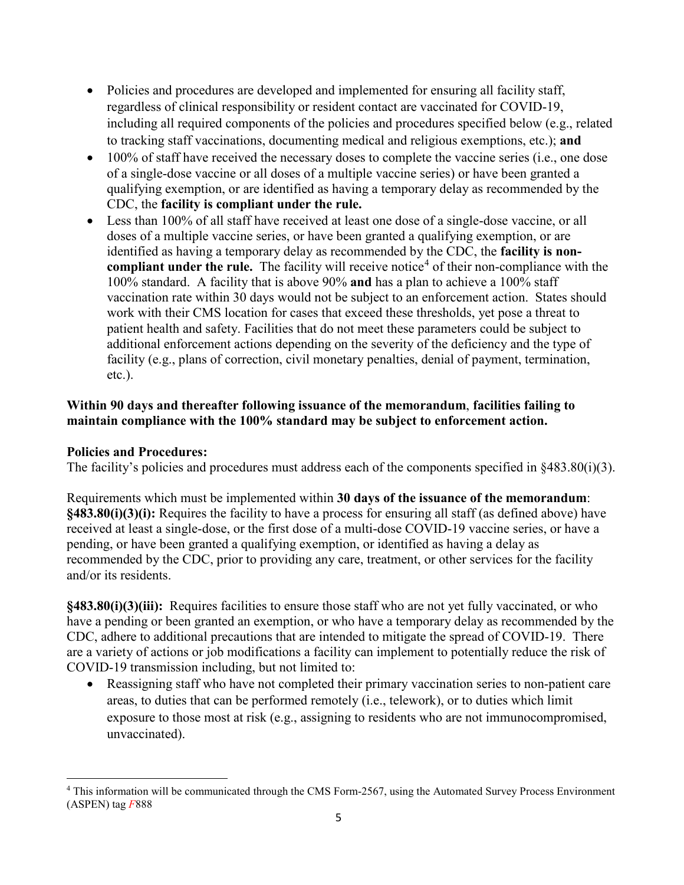- Policies and procedures are developed and implemented for ensuring all facility staff, regardless of clinical responsibility or resident contact are vaccinated for COVID-19, including all required components of the policies and procedures specified below (e.g., related to tracking staff vaccinations, documenting medical and religious exemptions, etc.); **and**
- 100% of staff have received the necessary doses to complete the vaccine series (i.e., one dose of a single-dose vaccine or all doses of a multiple vaccine series) or have been granted a qualifying exemption, or are identified as having a temporary delay as recommended by the CDC, the **facility is compliant under the rule.**
- Less than 100% of all staff have received at least one dose of a single-dose vaccine, or all doses of a multiple vaccine series, or have been granted a qualifying exemption, or are identified as having a temporary delay as recommended by the CDC, the **facility is noncompliant under the rule.** The facility will receive notice<sup>[4](#page-4-0)</sup> of their non-compliance with the 100% standard. A facility that is above 90% **and** has a plan to achieve a 100% staff vaccination rate within 30 days would not be subject to an enforcement action. States should work with their CMS location for cases that exceed these thresholds, yet pose a threat to patient health and safety. Facilities that do not meet these parameters could be subject to additional enforcement actions depending on the severity of the deficiency and the type of facility (e.g., plans of correction, civil monetary penalties, denial of payment, termination, etc.).

## **Within 90 days and thereafter following issuance of the memorandum**, **facilities failing to maintain compliance with the 100% standard may be subject to enforcement action.**

## **Policies and Procedures:**

The facility's policies and procedures must address each of the components specified in §483.80(i)(3).

Requirements which must be implemented within **30 days of the issuance of the memorandum**: **§483.80(i)(3)(i):** Requires the facility to have a process for ensuring all staff (as defined above) have received at least a single-dose, or the first dose of a multi-dose COVID-19 vaccine series, or have a pending, or have been granted a qualifying exemption, or identified as having a delay as recommended by the CDC, prior to providing any care, treatment, or other services for the facility and/or its residents.

**§483.80(i)(3)(iii):** Requires facilities to ensure those staff who are not yet fully vaccinated, or who have a pending or been granted an exemption, or who have a temporary delay as recommended by the CDC, adhere to additional precautions that are intended to mitigate the spread of COVID-19. There are a variety of actions or job modifications a facility can implement to potentially reduce the risk of COVID-19 transmission including, but not limited to:

• Reassigning staff who have not completed their primary vaccination series to non-patient care areas, to duties that can be performed remotely (i.e., telework), or to duties which limit exposure to those most at risk (e.g., assigning to residents who are not immunocompromised, unvaccinated).

<span id="page-4-0"></span>l <sup>4</sup> This information will be communicated through the CMS Form-2567, using the Automated Survey Process Environment (ASPEN) tag *F*888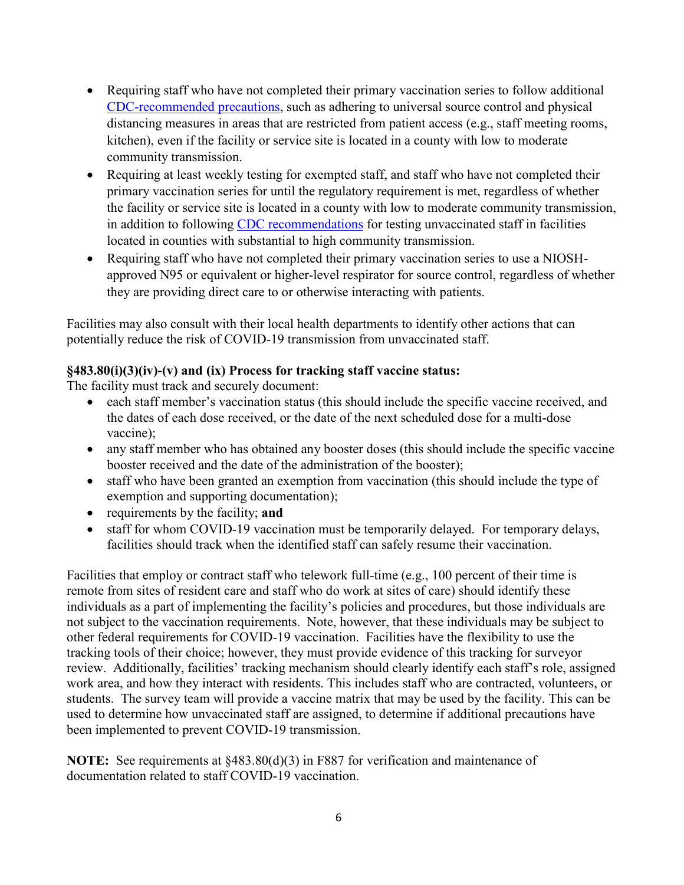- Requiring staff who have not completed their primary vaccination series to follow additional [CDC-recommended precautions,](https://www.cdc.gov/coronavirus/2019-ncov/hcp/infection-control-recommendations.html) such as adhering to universal source control and physical distancing measures in areas that are restricted from patient access (e.g., staff meeting rooms, kitchen), even if the facility or service site is located in a county with low to moderate community transmission.
- Requiring at least weekly testing for exempted staff, and staff who have not completed their primary vaccination series for until the regulatory requirement is met, regardless of whether the facility or service site is located in a county with low to moderate community transmission, in addition to following [CDC recommendations](https://www.cdc.gov/coronavirus/2019-ncov/hcp/long-term-care.html#anchor_1631031062858) for testing unvaccinated staff in facilities located in counties with substantial to high community transmission.
- Requiring staff who have not completed their primary vaccination series to use a NIOSHapproved N95 or equivalent or higher-level respirator for source control, regardless of whether they are providing direct care to or otherwise interacting with patients.

Facilities may also consult with their local health departments to identify other actions that can potentially reduce the risk of COVID-19 transmission from unvaccinated staff.

## **§483.80(i)(3)(iv)-(v) and (ix) Process for tracking staff vaccine status:**

The facility must track and securely document:

- each staff member's vaccination status (this should include the specific vaccine received, and the dates of each dose received, or the date of the next scheduled dose for a multi-dose vaccine);
- any staff member who has obtained any booster doses (this should include the specific vaccine booster received and the date of the administration of the booster);
- staff who have been granted an exemption from vaccination (this should include the type of exemption and supporting documentation);
- requirements by the facility; **and**
- staff for whom COVID-19 vaccination must be temporarily delayed. For temporary delays, facilities should track when the identified staff can safely resume their vaccination.

Facilities that employ or contract staff who telework full-time (e.g., 100 percent of their time is remote from sites of resident care and staff who do work at sites of care) should identify these individuals as a part of implementing the facility's policies and procedures, but those individuals are not subject to the vaccination requirements. Note, however, that these individuals may be subject to other federal requirements for COVID-19 vaccination. Facilities have the flexibility to use the tracking tools of their choice; however, they must provide evidence of this tracking for surveyor review. Additionally, facilities' tracking mechanism should clearly identify each staff's role, assigned work area, and how they interact with residents. This includes staff who are contracted, volunteers, or students. The survey team will provide a vaccine matrix that may be used by the facility. This can be used to determine how unvaccinated staff are assigned, to determine if additional precautions have been implemented to prevent COVID-19 transmission.

**NOTE:** See requirements at §483.80(d)(3) in F887 for verification and maintenance of documentation related to staff COVID-19 vaccination.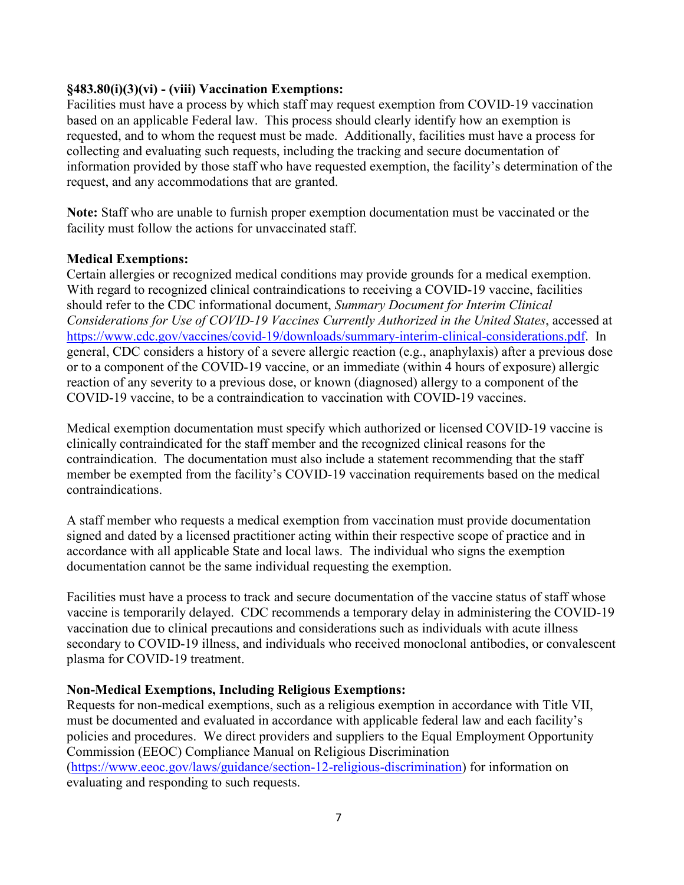## **§483.80(i)(3)(vi) - (viii) Vaccination Exemptions:**

Facilities must have a process by which staff may request exemption from COVID-19 vaccination based on an applicable Federal law. This process should clearly identify how an exemption is requested, and to whom the request must be made. Additionally, facilities must have a process for collecting and evaluating such requests, including the tracking and secure documentation of information provided by those staff who have requested exemption, the facility's determination of the request, and any accommodations that are granted.

**Note:** Staff who are unable to furnish proper exemption documentation must be vaccinated or the facility must follow the actions for unvaccinated staff.

#### **Medical Exemptions:**

Certain allergies or recognized medical conditions may provide grounds for a medical exemption. With regard to recognized clinical contraindications to receiving a COVID-19 vaccine, facilities should refer to the CDC informational document, *Summary Document for Interim Clinical Considerations for Use of COVID-19 Vaccines Currently Authorized in the United States*, accessed at [https://www.cdc.gov/vaccines/covid-19/downloads/summary-interim-clinical-considerations.pdf.](https://www.cdc.gov/vaccines/covid-19/downloads/summary-interim-clinical-considerations.pdf) In general, CDC considers a history of a severe allergic reaction (e.g., anaphylaxis) after a previous dose or to a component of the COVID-19 vaccine, or an immediate (within 4 hours of exposure) allergic reaction of any severity to a previous dose, or known (diagnosed) allergy to a component of the COVID-19 vaccine, to be a contraindication to vaccination with COVID-19 vaccines.

Medical exemption documentation must specify which authorized or licensed COVID-19 vaccine is clinically contraindicated for the staff member and the recognized clinical reasons for the contraindication. The documentation must also include a statement recommending that the staff member be exempted from the facility's COVID-19 vaccination requirements based on the medical contraindications.

A staff member who requests a medical exemption from vaccination must provide documentation signed and dated by a licensed practitioner acting within their respective scope of practice and in accordance with all applicable State and local laws. The individual who signs the exemption documentation cannot be the same individual requesting the exemption.

Facilities must have a process to track and secure documentation of the vaccine status of staff whose vaccine is temporarily delayed. CDC recommends a temporary delay in administering the COVID-19 vaccination due to clinical precautions and considerations such as individuals with acute illness secondary to COVID-19 illness, and individuals who received monoclonal antibodies, or convalescent plasma for COVID-19 treatment.

## **Non-Medical Exemptions, Including Religious Exemptions:**

Requests for non-medical exemptions, such as a religious exemption in accordance with Title VII, must be documented and evaluated in accordance with applicable federal law and each facility's policies and procedures. We direct providers and suppliers to the Equal Employment Opportunity Commission (EEOC) Compliance Manual on Religious Discrimination [\(https://www.eeoc.gov/laws/guidance/section-12-religious-discrimination\)](https://www.eeoc.gov/laws/guidance/section-12-religious-discrimination) for information on evaluating and responding to such requests.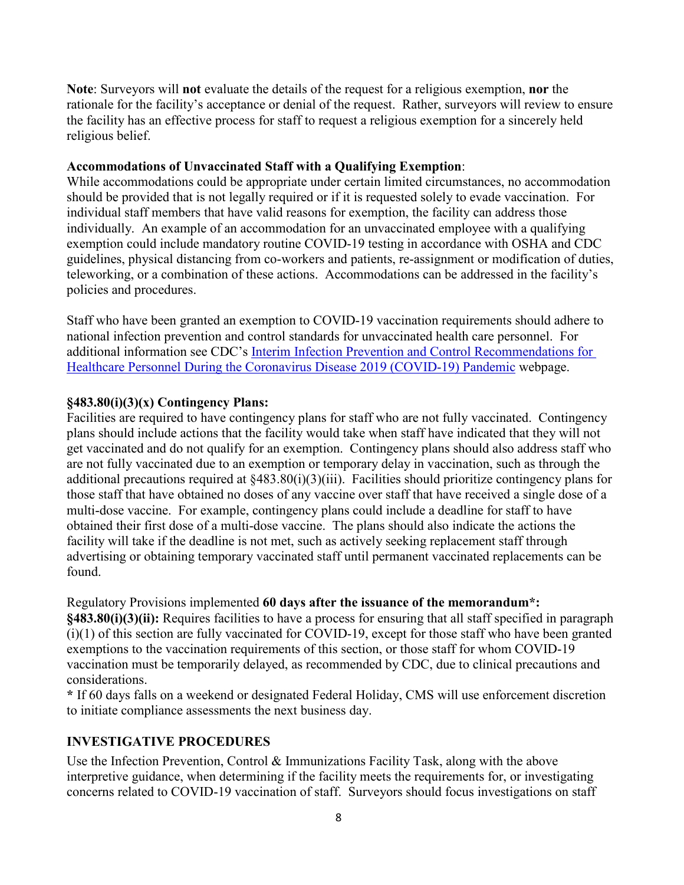**Note**: Surveyors will **not** evaluate the details of the request for a religious exemption, **nor** the rationale for the facility's acceptance or denial of the request. Rather, surveyors will review to ensure the facility has an effective process for staff to request a religious exemption for a sincerely held religious belief.

#### **Accommodations of Unvaccinated Staff with a Qualifying Exemption**:

While accommodations could be appropriate under certain limited circumstances, no accommodation should be provided that is not legally required or if it is requested solely to evade vaccination. For individual staff members that have valid reasons for exemption, the facility can address those individually. An example of an accommodation for an unvaccinated employee with a qualifying exemption could include mandatory routine COVID-19 testing in accordance with OSHA and CDC guidelines, physical distancing from co-workers and patients, re-assignment or modification of duties, teleworking, or a combination of these actions. Accommodations can be addressed in the facility's policies and procedures.

Staff who have been granted an exemption to COVID-19 vaccination requirements should adhere to national infection prevention and control standards for unvaccinated health care personnel. For additional information see CDC's [Interim Infection Prevention and Control Recommendations for](https://www.cdc.gov/coronavirus/2019-ncov/hcp/infection-control-recommendations.html)  [Healthcare Personnel During the Coronavirus Disease 2019 \(COVID-19\) Pandemic](https://www.cdc.gov/coronavirus/2019-ncov/hcp/infection-control-recommendations.html) webpage.

## **§483.80(i)(3)(x) Contingency Plans:**

Facilities are required to have contingency plans for staff who are not fully vaccinated. Contingency plans should include actions that the facility would take when staff have indicated that they will not get vaccinated and do not qualify for an exemption. Contingency plans should also address staff who are not fully vaccinated due to an exemption or temporary delay in vaccination, such as through the additional precautions required at §483.80(i)(3)(iii). Facilities should prioritize contingency plans for those staff that have obtained no doses of any vaccine over staff that have received a single dose of a multi-dose vaccine. For example, contingency plans could include a deadline for staff to have obtained their first dose of a multi-dose vaccine. The plans should also indicate the actions the facility will take if the deadline is not met, such as actively seeking replacement staff through advertising or obtaining temporary vaccinated staff until permanent vaccinated replacements can be found.

Regulatory Provisions implemented **60 days after the issuance of the memorandum\*:**

**§483.80(i)(3)(ii):** Requires facilities to have a process for ensuring that all staff specified in paragraph (i)(1) of this section are fully vaccinated for COVID-19, except for those staff who have been granted exemptions to the vaccination requirements of this section, or those staff for whom COVID-19 vaccination must be temporarily delayed, as recommended by CDC, due to clinical precautions and considerations.

**\*** If 60 days falls on a weekend or designated Federal Holiday, CMS will use enforcement discretion to initiate compliance assessments the next business day.

## **INVESTIGATIVE PROCEDURES**

Use the Infection Prevention, Control & Immunizations Facility Task, along with the above interpretive guidance, when determining if the facility meets the requirements for, or investigating concerns related to COVID-19 vaccination of staff. Surveyors should focus investigations on staff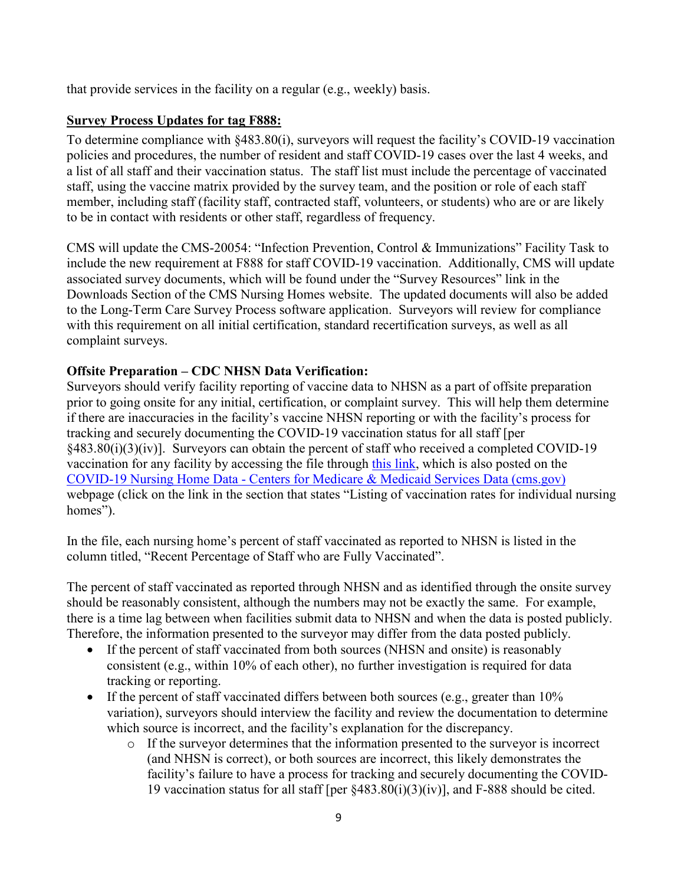that provide services in the facility on a regular (e.g., weekly) basis.

## **Survey Process Updates for tag F888:**

To determine compliance with §483.80(i), surveyors will request the facility's COVID-19 vaccination policies and procedures, the number of resident and staff COVID-19 cases over the last 4 weeks, and a list of all staff and their vaccination status. The staff list must include the percentage of vaccinated staff, using the vaccine matrix provided by the survey team, and the position or role of each staff member, including staff (facility staff, contracted staff, volunteers, or students) who are or are likely to be in contact with residents or other staff, regardless of frequency.

CMS will update the CMS-20054: "Infection Prevention, Control & Immunizations" Facility Task to include the new requirement at F888 for staff COVID-19 vaccination. Additionally, CMS will update associated survey documents, which will be found under the "Survey Resources" link in the Downloads Section of the CMS Nursing Homes website. The updated documents will also be added to the Long-Term Care Survey Process software application. Surveyors will review for compliance with this requirement on all initial certification, standard recertification surveys, as well as all complaint surveys.

## **Offsite Preparation – CDC NHSN Data Verification:**

Surveyors should verify facility reporting of vaccine data to NHSN as a part of offsite preparation prior to going onsite for any initial, certification, or complaint survey. This will help them determine if there are inaccuracies in the facility's vaccine NHSN reporting or with the facility's process for tracking and securely documenting the COVID-19 vaccination status for all staff [per §483.80(i)(3)(iv)]. Surveyors can obtain the percent of staff who received a completed COVID-19 vaccination for any facility by accessing the file through [this link,](https://download.cms.gov/covid_nhsn/covid-19%20nursing%20home%20resident%20and%20staff%20vaccination%20rates.xlsx) which is also posted on the COVID-19 Nursing Home Data - [Centers for Medicare & Medicaid Services Data \(cms.gov\)](https://data.cms.gov/covid-19/covid-19-nursing-home-data) webpage (click on the link in the section that states "Listing of vaccination rates for individual nursing homes").

In the file, each nursing home's percent of staff vaccinated as reported to NHSN is listed in the column titled, "Recent Percentage of Staff who are Fully Vaccinated".

The percent of staff vaccinated as reported through NHSN and as identified through the onsite survey should be reasonably consistent, although the numbers may not be exactly the same. For example, there is a time lag between when facilities submit data to NHSN and when the data is posted publicly. Therefore, the information presented to the surveyor may differ from the data posted publicly.

- If the percent of staff vaccinated from both sources (NHSN and onsite) is reasonably consistent (e.g., within 10% of each other), no further investigation is required for data tracking or reporting.
- If the percent of staff vaccinated differs between both sources (e.g., greater than  $10\%$ ) variation), surveyors should interview the facility and review the documentation to determine which source is incorrect, and the facility's explanation for the discrepancy.
	- o If the surveyor determines that the information presented to the surveyor is incorrect (and NHSN is correct), or both sources are incorrect, this likely demonstrates the facility's failure to have a process for tracking and securely documenting the COVID-19 vaccination status for all staff [per  $\S 483.80(i)(3)(iv)$ ], and F-888 should be cited.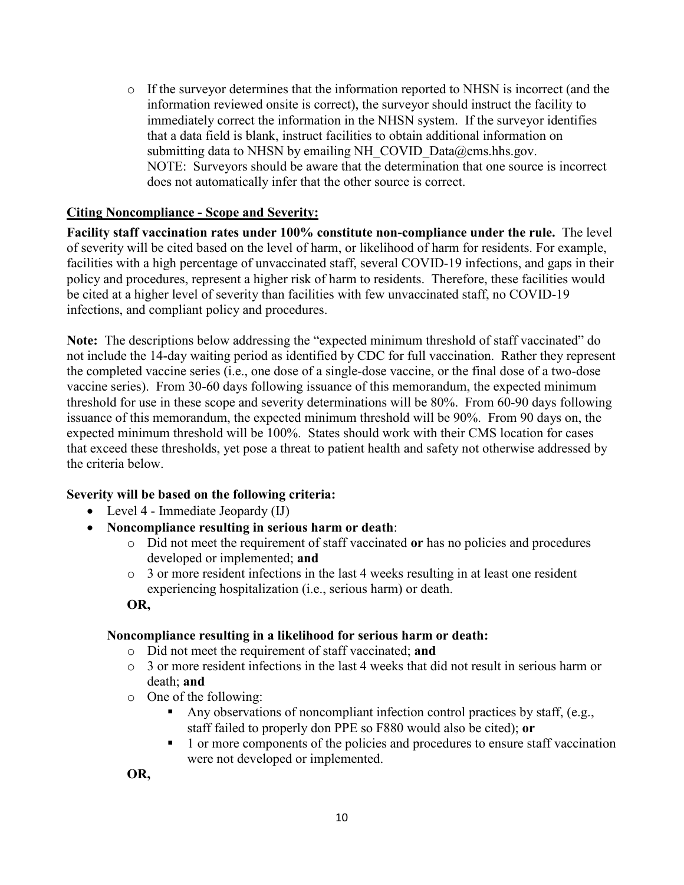o If the surveyor determines that the information reported to NHSN is incorrect (and the information reviewed onsite is correct), the surveyor should instruct the facility to immediately correct the information in the NHSN system. If the surveyor identifies that a data field is blank, instruct facilities to obtain additional information on submitting data to NHSN by emailing NH COVID Data@cms.hhs.gov. NOTE: Surveyors should be aware that the determination that one source is incorrect does not automatically infer that the other source is correct.

#### **Citing Noncompliance - Scope and Severity:**

**Facility staff vaccination rates under 100% constitute non-compliance under the rule.** The level of severity will be cited based on the level of harm, or likelihood of harm for residents. For example, facilities with a high percentage of unvaccinated staff, several COVID-19 infections, and gaps in their policy and procedures, represent a higher risk of harm to residents. Therefore, these facilities would be cited at a higher level of severity than facilities with few unvaccinated staff, no COVID-19 infections, and compliant policy and procedures.

**Note:** The descriptions below addressing the "expected minimum threshold of staff vaccinated" do not include the 14-day waiting period as identified by CDC for full vaccination. Rather they represent the completed vaccine series (i.e., one dose of a single-dose vaccine, or the final dose of a two-dose vaccine series). From 30-60 days following issuance of this memorandum, the expected minimum threshold for use in these scope and severity determinations will be 80%. From 60-90 days following issuance of this memorandum, the expected minimum threshold will be 90%. From 90 days on, the expected minimum threshold will be 100%. States should work with their CMS location for cases that exceed these thresholds, yet pose a threat to patient health and safety not otherwise addressed by the criteria below.

#### **Severity will be based on the following criteria:**

- Level 4 Immediate Jeopardy (IJ)
- **Noncompliance resulting in serious harm or death**:
	- o Did not meet the requirement of staff vaccinated **or** has no policies and procedures developed or implemented; **and**
	- $\circ$  3 or more resident infections in the last 4 weeks resulting in at least one resident experiencing hospitalization (i.e., serious harm) or death.

**OR,**

## **Noncompliance resulting in a likelihood for serious harm or death:**

- o Did not meet the requirement of staff vaccinated; **and**
- $\circ$  3 or more resident infections in the last 4 weeks that did not result in serious harm or death; **and**
- o One of the following:
	- Any observations of noncompliant infection control practices by staff, (e.g., staff failed to properly don PPE so F880 would also be cited); **or**
	- <sup>1</sup> 1 or more components of the policies and procedures to ensure staff vaccination were not developed or implemented.

**OR,**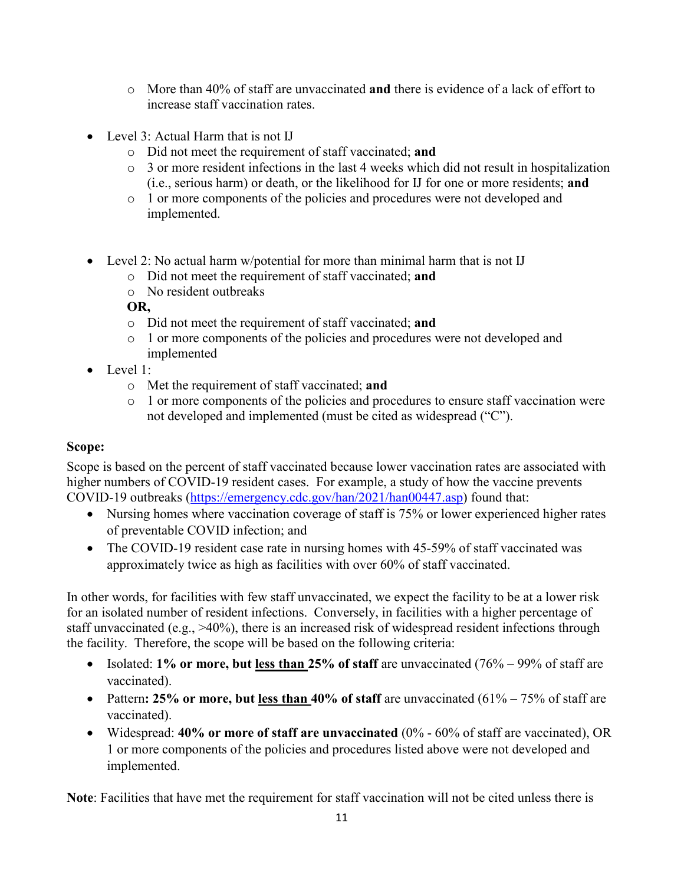- o More than 40% of staff are unvaccinated **and** there is evidence of a lack of effort to increase staff vaccination rates.
- Level 3: Actual Harm that is not IJ
	- o Did not meet the requirement of staff vaccinated; **and**
	- o 3 or more resident infections in the last 4 weeks which did not result in hospitalization (i.e., serious harm) or death, or the likelihood for IJ for one or more residents; **and**
	- o 1 or more components of the policies and procedures were not developed and implemented.
- Level 2: No actual harm w/potential for more than minimal harm that is not IJ
	- o Did not meet the requirement of staff vaccinated; **and**
	- o No resident outbreaks

**OR,**

- o Did not meet the requirement of staff vaccinated; **and**
- o 1 or more components of the policies and procedures were not developed and implemented
- Level 1:
	- o Met the requirement of staff vaccinated; **and**
	- o 1 or more components of the policies and procedures to ensure staff vaccination were not developed and implemented (must be cited as widespread ("C").

## **Scope:**

Scope is based on the percent of staff vaccinated because lower vaccination rates are associated with higher numbers of COVID-19 resident cases. For example, a study of how the vaccine prevents COVID-19 outbreaks [\(https://emergency.cdc.gov/han/2021/han00447.asp\)](https://emergency.cdc.gov/han/2021/han00447.asp) found that:

- Nursing homes where vaccination coverage of staff is 75% or lower experienced higher rates of preventable COVID infection; and
- The COVID-19 resident case rate in nursing homes with 45-59% of staff vaccinated was approximately twice as high as facilities with over 60% of staff vaccinated.

In other words, for facilities with few staff unvaccinated, we expect the facility to be at a lower risk for an isolated number of resident infections. Conversely, in facilities with a higher percentage of staff unvaccinated (e.g., >40%), there is an increased risk of widespread resident infections through the facility. Therefore, the scope will be based on the following criteria:

- Isolated: **1% or more, but less than 25% of staff** are unvaccinated (76% 99% of staff are vaccinated).
- Pattern: 25% or more, but <u>less than</u> 40% of staff are unvaccinated (61% 75% of staff are vaccinated).
- Widespread: **40% or more of staff are unvaccinated** (0% 60% of staff are vaccinated), OR 1 or more components of the policies and procedures listed above were not developed and implemented.

**Note**: Facilities that have met the requirement for staff vaccination will not be cited unless there is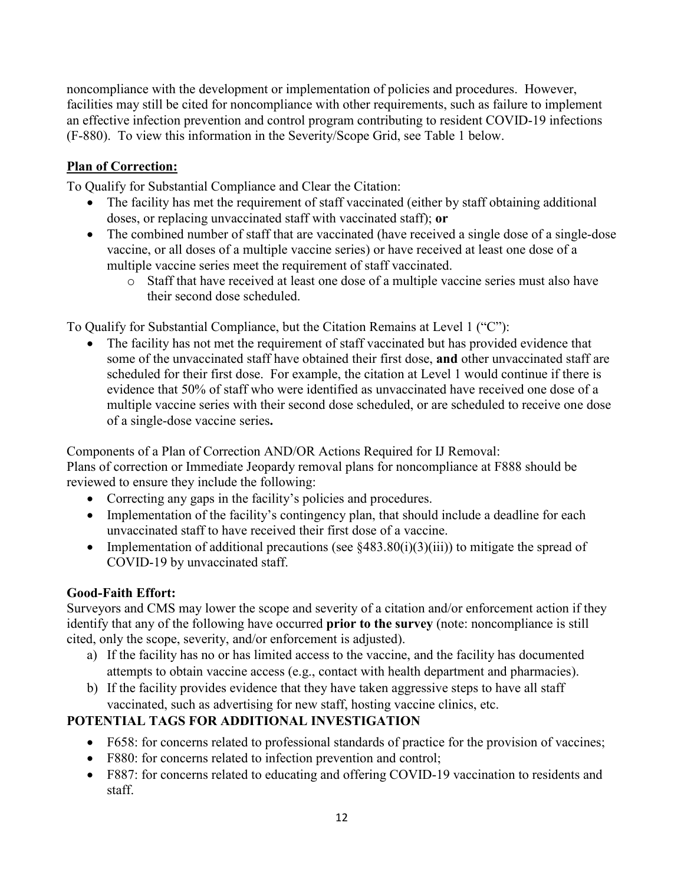noncompliance with the development or implementation of policies and procedures. However, facilities may still be cited for noncompliance with other requirements, such as failure to implement an effective infection prevention and control program contributing to resident COVID-19 infections (F-880). To view this information in the Severity/Scope Grid, see Table 1 below.

# **Plan of Correction:**

To Qualify for Substantial Compliance and Clear the Citation:

- The facility has met the requirement of staff vaccinated (either by staff obtaining additional doses, or replacing unvaccinated staff with vaccinated staff); **or**
- The combined number of staff that are vaccinated (have received a single dose of a single-dose vaccine, or all doses of a multiple vaccine series) or have received at least one dose of a multiple vaccine series meet the requirement of staff vaccinated.
	- o Staff that have received at least one dose of a multiple vaccine series must also have their second dose scheduled.

To Qualify for Substantial Compliance, but the Citation Remains at Level 1 ("C"):

The facility has not met the requirement of staff vaccinated but has provided evidence that some of the unvaccinated staff have obtained their first dose, **and** other unvaccinated staff are scheduled for their first dose. For example, the citation at Level 1 would continue if there is evidence that 50% of staff who were identified as unvaccinated have received one dose of a multiple vaccine series with their second dose scheduled, or are scheduled to receive one dose of a single-dose vaccine series**.** 

Components of a Plan of Correction AND/OR Actions Required for IJ Removal: Plans of correction or Immediate Jeopardy removal plans for noncompliance at F888 should be reviewed to ensure they include the following:

- Correcting any gaps in the facility's policies and procedures.
- Implementation of the facility's contingency plan, that should include a deadline for each unvaccinated staff to have received their first dose of a vaccine.
- Implementation of additional precautions (see  $\S 483.80(i)(3)(iii)$ ) to mitigate the spread of COVID-19 by unvaccinated staff.

# **Good-Faith Effort:**

Surveyors and CMS may lower the scope and severity of a citation and/or enforcement action if they identify that any of the following have occurred **prior to the survey** (note: noncompliance is still cited, only the scope, severity, and/or enforcement is adjusted).

- a) If the facility has no or has limited access to the vaccine, and the facility has documented attempts to obtain vaccine access (e.g., contact with health department and pharmacies).
- b) If the facility provides evidence that they have taken aggressive steps to have all staff vaccinated, such as advertising for new staff, hosting vaccine clinics, etc.

# **POTENTIAL TAGS FOR ADDITIONAL INVESTIGATION**

- F658: for concerns related to professional standards of practice for the provision of vaccines;
- F880: for concerns related to infection prevention and control;
- F887: for concerns related to educating and offering COVID-19 vaccination to residents and staff.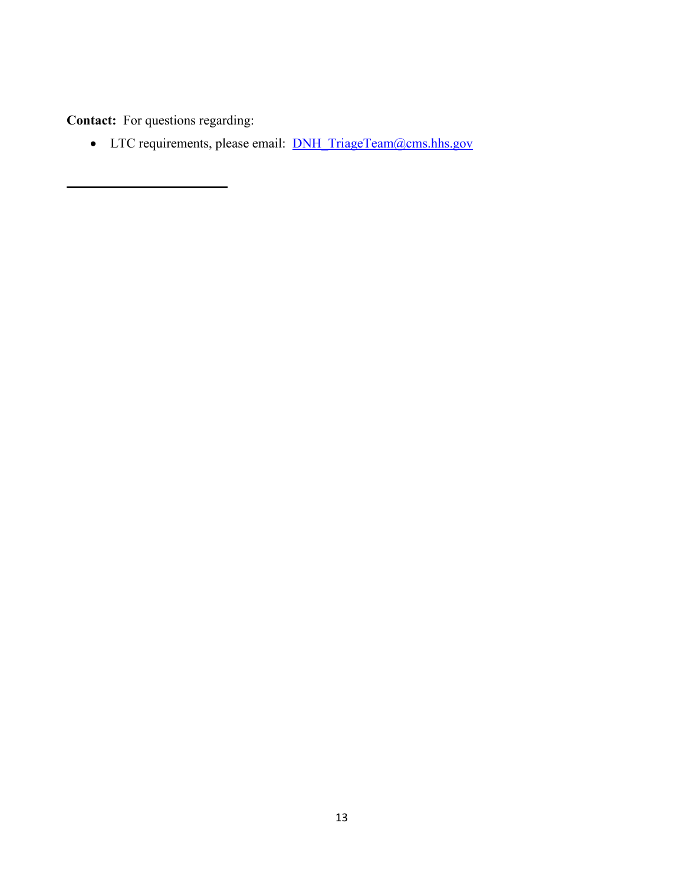**Contact:** For questions regarding:

• LTC requirements, please email: **[DNH\\_TriageTeam@cms.hhs.gov](mailto:DNH_TriageTeam@cms.hhs.gov)**